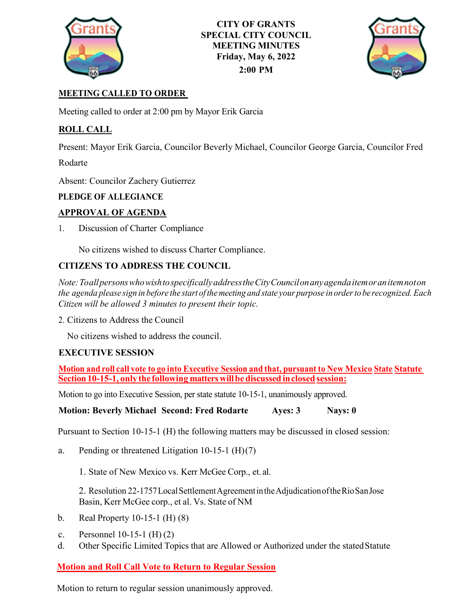

**CITY OF GRANTS SPECIAL CITY COUNCIL MEETING MINUTES Friday, May 6, 2022 2:00 PM**



# **MEETING CALLED TO ORDER**

Meeting called to order at 2:00 pm by Mayor Erik Garcia

## **ROLL CALL**

Present: Mayor Erik Garcia, Councilor Beverly Michael, Councilor George Garcia, Councilor Fred

Rodarte

Absent: Councilor Zachery Gutierrez

### **PLEDGE OF ALLEGIANCE**

### **APPROVAL OF AGENDA**

1. Discussion of Charter Compliance

No citizens wished to discuss Charter Compliance.

## **CITIZENS TO ADDRESS THE COUNCIL**

*Note:ToallpersonswhowishtospecificallyaddresstheCityCouncilonanyagendaitemoranitemnoton* the agenda please sign in before the start of the meeting and state your purpose in order to be recognized. Each *Citizen will be allowed 3 minutes to present their topic.*

2. Citizens to Address the Council

No citizens wished to address the council.

## **EXECUTIVE SESSION**

Motion and roll call vote to go into Executive Session and that, pursuant to New Mexico State Statute **Section10-15-1, onlythe following matterswillbediscussed inclosed session:**

Motion to go into Executive Session, per state statute 10-15-1, unanimously approved.

**Motion: Beverly Michael Second: Fred Rodarte Ayes: 3 Nays: 0**

Pursuant to Section 10-15-1 (H) the following matters may be discussed in closed session:

a. Pending or threatened Litigation 10-15-1 (H)(7)

1. State of New Mexico vs. Kerr McGee Corp., et. al.

2. Resolution 22-1757 Local Settlement Agreement in the Adjudication of the Rio San Jose Basin, Kerr McGee corp., et al. Vs. State of NM

- b. Real Property 10-15-1 (H) (8)
- c. Personnel 10-15-1 (H) (2)
- d. Other Specific Limited Topics that are Allowed or Authorized under the statedStatute

## **Motion and Roll Call Vote to Return to Regular Session**

Motion to return to regular session unanimously approved.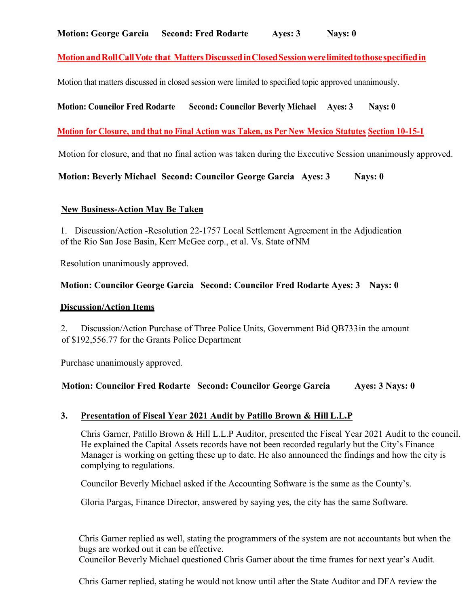## **MotionandRollCallVote that MattersDiscussedinClosedSessionwerelimitedtothosespecifiedin**

Motion that matters discussed in closed session were limited to specified topic approved unanimously.

### **Motion: Councilor Fred Rodarte Second: Councilor Beverly Michael Ayes: 3 Nays: 0**

### **Motion for Closure, and that no Final Action was Taken, as Per New Mexico Statutes Section 10-15-1**

Motion for closure, and that no final action was taken during the Executive Session unanimously approved.

**Motion: Beverly Michael Second: Councilor George Garcia Ayes: 3 Nays: 0**

#### **New Business-Action May Be Taken**

1. Discussion/Action -Resolution 22-1757 Local Settlement Agreement in the Adjudication of the Rio San Jose Basin, Kerr McGee corp., et al. Vs. State ofNM

Resolution unanimously approved.

#### **Motion: Councilor George Garcia Second: Councilor Fred Rodarte Ayes: 3 Nays: 0**

#### **Discussion/Action Items**

2. Discussion/Action Purchase of Three Police Units, Government Bid QB733in the amount of \$192,556.77 for the Grants Police Department

Purchase unanimously approved.

#### **Motion: Councilor Fred Rodarte Second: Councilor George Garcia Ayes: 3 Nays: 0**

#### **3. Presentation of Fiscal Year 2021 Audit by Patillo Brown & Hill L.L.P**

Chris Garner, Patillo Brown & Hill L.L.P Auditor, presented the Fiscal Year 2021 Audit to the council. He explained the Capital Assets records have not been recorded regularly but the City's Finance Manager is working on getting these up to date. He also announced the findings and how the city is complying to regulations.

Councilor Beverly Michael asked if the Accounting Software is the same as the County's.

Gloria Pargas, Finance Director, answered by saying yes, the city has the same Software.

Chris Garner replied as well, stating the programmers of the system are not accountants but when the bugs are worked out it can be effective.

Councilor Beverly Michael questioned Chris Garner about the time frames for next year's Audit.

Chris Garner replied, stating he would not know until after the State Auditor and DFA review the